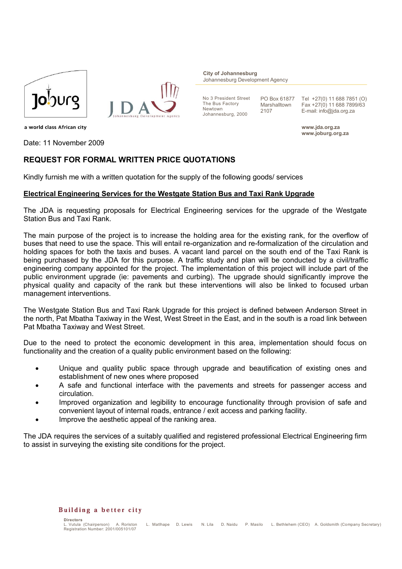



**City of Johannesburg** Johannesburg Development Agency

No 3 President Street The Bus Factory Newtown Johannesburg, 2000

PO Box 61877 Marshalltown 2107

Tel +27(0) 11 688 7851 (O) Fax +27(0) 11 688 7899/63 E-mail: info@jda.org.za

**www.jda.org.za www.joburg.org.za**

a world class African city

Date: 11 November 2009

# **REQUEST FOR FORMAL WRITTEN PRICE QUOTATIONS**

Kindly furnish me with a written quotation for the supply of the following goods/ services

## **Electrical Engineering Services for the Westgate Station Bus and Taxi Rank Upgrade**

The JDA is requesting proposals for Electrical Engineering services for the upgrade of the Westgate Station Bus and Taxi Rank.

The main purpose of the project is to increase the holding area for the existing rank, for the overflow of buses that need to use the space. This will entail re-organization and re-formalization of the circulation and holding spaces for both the taxis and buses. A vacant land parcel on the south end of the Taxi Rank is being purchased by the JDA for this purpose. A traffic study and plan will be conducted by a civil/traffic engineering company appointed for the project. The implementation of this project will include part of the public environment upgrade (ie: pavements and curbing). The upgrade should significantly improve the physical quality and capacity of the rank but these interventions will also be linked to focused urban management interventions.

The Westgate Station Bus and Taxi Rank Upgrade for this project is defined between Anderson Street in the north, Pat Mbatha Taxiway in the West, West Street in the East, and in the south is a road link between Pat Mbatha Taxiway and West Street.

Due to the need to protect the economic development in this area, implementation should focus on functionality and the creation of a quality public environment based on the following:

- Unique and quality public space through upgrade and beautification of existing ones and establishment of new ones where proposed
- A safe and functional interface with the pavements and streets for passenger access and circulation.
- Improved organization and legibility to encourage functionality through provision of safe and convenient layout of internal roads, entrance / exit access and parking facility.
- Improve the aesthetic appeal of the ranking area.

The JDA requires the services of a suitably qualified and registered professional Electrical Engineering firm to assist in surveying the existing site conditions for the project.

#### Building a better city

**Directors**<br> **L** Vutula (Chairnerson) A. Roriston L. Matlhape D. Lewis N. Lila D. Naidu P. Masilo L. Bethlehem (CEO) A. Goldsmith (Company Secretary) Registration Number: 2001/005101/07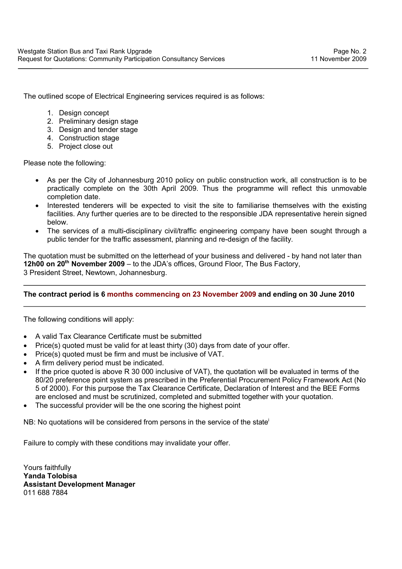The outlined scope of Electrical Engineering services required is as follows:

- 1. Design concept
- 2. Preliminary design stage
- 3. Design and tender stage
- 4. Construction stage
- 5. Project close out

Please note the following:

- As per the City of Johannesburg 2010 policy on public construction work, all construction is to be practically complete on the 30th April 2009. Thus the programme will reflect this unmovable completion date.
- Interested tenderers will be expected to visit the site to familiarise themselves with the existing facilities. Any further queries are to be directed to the responsible JDA representative herein signed below.
- The services of a multi-disciplinary civil/traffic engineering company have been sought through a public tender for the traffic assessment, planning and re-design of the facility.

The quotation must be submitted on the letterhead of your business and delivered - by hand not later than **12h00 on 20th November 2009** – to the JDA's offices, Ground Floor, The Bus Factory, 3 President Street, Newtown, Johannesburg.

# **The contract period is 6 months commencing on 23 November 2009 and ending on 30 June 2010**

The following conditions will apply:

- A valid Tax Clearance Certificate must be submitted
- Price(s) quoted must be valid for at least thirty (30) days from date of your offer.
- Price(s) quoted must be firm and must be inclusive of VAT.
- A firm delivery period must be indicated.
- If the price quoted is above R 30 000 inclusive of VAT), the quotation will be evaluated in terms of the 80/20 preference point system as prescribed in the Preferential Procurement Policy Framework Act (No 5 of 2000). For this purpose the Tax Clearance Certificate, Declaration of Interest and the BEE Forms are enclosed and must be scrutinized, completed and submitted together with your quotation.
- The successful provider will be the one scoring the highest point

NB: No quotations will be considered from persons in the service of the state<sup>1</sup>

Failure to comply with these conditions may invalidate your offer.

Yours faithfully **Yanda Tolobisa Assistant Development Manager** 011 688 7884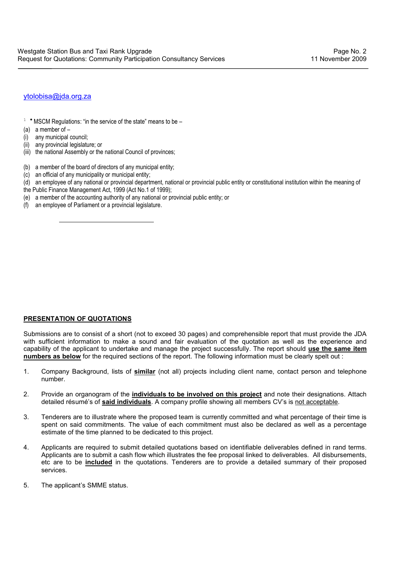## ytolobisa@jda.org.za

- $1$  \* MSCM Regulations: "in the service of the state" means to be –
- (a) a member of –
- (i) any municipal council;
- (ii) any provincial legislature; or

- (iii) the national Assembly or the national Council of provinces;
- (b) a member of the board of directors of any municipal entity;
- (c) an official of any municipality or municipal entity;
- (d) an employee of any national or provincial department, national or provincial public entity or constitutional institution within the meaning of
- the Public Finance Management Act, 1999 (Act No.1 of 1999);
- (e) a member of the accounting authority of any national or provincial public entity; or
- (f) an employee of Parliament or a provincial legislature.

## **PRESENTATION OF QUOTATIONS**

Submissions are to consist of a short (not to exceed 30 pages) and comprehensible report that must provide the JDA with sufficient information to make a sound and fair evaluation of the quotation as well as the experience and capability of the applicant to undertake and manage the project successfully. The report should **use the same item numbers as below** for the required sections of the report. The following information must be clearly spelt out :

- 1. Company Background, lists of **similar** (not all) projects including client name, contact person and telephone number.
- 2. Provide an organogram of the **individuals to be involved on this project** and note their designations. Attach detailed résumé's of **said individuals**. A company profile showing all members CV's is not acceptable.
- 3. Tenderers are to illustrate where the proposed team is currently committed and what percentage of their time is spent on said commitments. The value of each commitment must also be declared as well as a percentage estimate of the time planned to be dedicated to this project.
- 4. Applicants are required to submit detailed quotations based on identifiable deliverables defined in rand terms. Applicants are to submit a cash flow which illustrates the fee proposal linked to deliverables. All disbursements, etc are to be **included** in the quotations. Tenderers are to provide a detailed summary of their proposed services.
- 5. The applicant's SMME status.